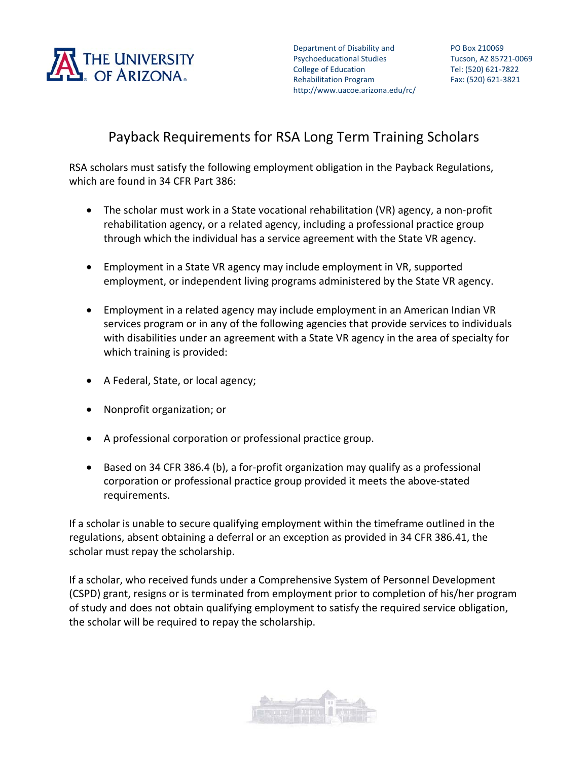

Department of Disability and **PO Box 210069** Psychoeducational Studies Tucson, AZ 85721‐0069 College of Education Tel: (520) 621-7822 Rehabilitation Program http://www.uacoe.arizona.edu/rc/

# Payback Requirements for RSA Long Term Training Scholars

RSA scholars must satisfy the following employment obligation in the Payback Regulations, which are found in 34 CFR Part 386:

- The scholar must work in a State vocational rehabilitation (VR) agency, a non‐profit rehabilitation agency, or a related agency, including a professional practice group through which the individual has a service agreement with the State VR agency.
- Employment in a State VR agency may include employment in VR, supported employment, or independent living programs administered by the State VR agency.
- Employment in a related agency may include employment in an American Indian VR services program or in any of the following agencies that provide services to individuals with disabilities under an agreement with a State VR agency in the area of specialty for which training is provided:
- A Federal, State, or local agency;
- Nonprofit organization; or
- A professional corporation or professional practice group.
- Based on 34 CFR 386.4 (b), a for-profit organization may qualify as a professional corporation or professional practice group provided it meets the above‐stated requirements.

If a scholar is unable to secure qualifying employment within the timeframe outlined in the regulations, absent obtaining a deferral or an exception as provided in 34 CFR 386.41, the scholar must repay the scholarship.

If a scholar, who received funds under a Comprehensive System of Personnel Development (CSPD) grant, resigns or is terminated from employment prior to completion of his/her program of study and does not obtain qualifying employment to satisfy the required service obligation, the scholar will be required to repay the scholarship.

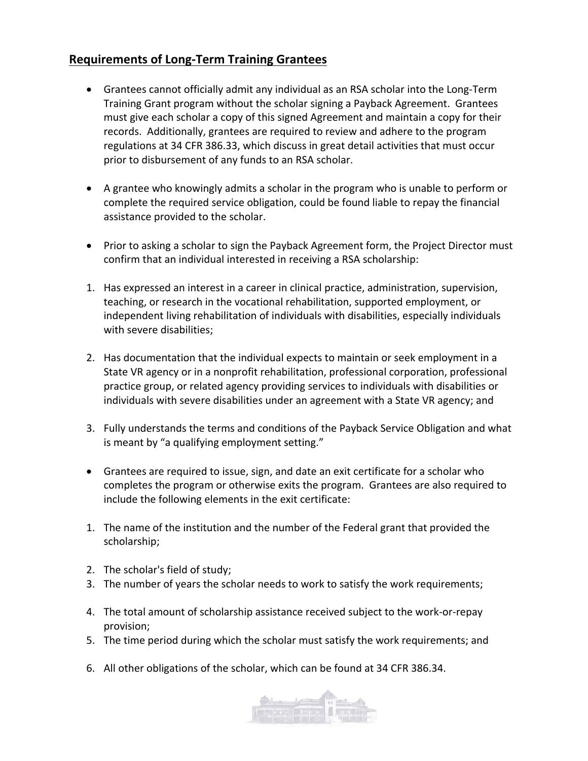## **Requirements of Long‐Term Training Grantees**

- Grantees cannot officially admit any individual as an RSA scholar into the Long‐Term Training Grant program without the scholar signing a Payback Agreement. Grantees must give each scholar a copy of this signed Agreement and maintain a copy for their records. Additionally, grantees are required to review and adhere to the program regulations at 34 CFR 386.33, which discuss in great detail activities that must occur prior to disbursement of any funds to an RSA scholar.
- A grantee who knowingly admits a scholar in the program who is unable to perform or complete the required service obligation, could be found liable to repay the financial assistance provided to the scholar.
- Prior to asking a scholar to sign the Payback Agreement form, the Project Director must confirm that an individual interested in receiving a RSA scholarship:
- 1. Has expressed an interest in a career in clinical practice, administration, supervision, teaching, or research in the vocational rehabilitation, supported employment, or independent living rehabilitation of individuals with disabilities, especially individuals with severe disabilities;
- 2. Has documentation that the individual expects to maintain or seek employment in a State VR agency or in a nonprofit rehabilitation, professional corporation, professional practice group, or related agency providing services to individuals with disabilities or individuals with severe disabilities under an agreement with a State VR agency; and
- 3. Fully understands the terms and conditions of the Payback Service Obligation and what is meant by "a qualifying employment setting."
- Grantees are required to issue, sign, and date an exit certificate for a scholar who completes the program or otherwise exits the program. Grantees are also required to include the following elements in the exit certificate:
- 1. The name of the institution and the number of the Federal grant that provided the scholarship;
- 2. The scholar's field of study;
- 3. The number of years the scholar needs to work to satisfy the work requirements;
- 4. The total amount of scholarship assistance received subject to the work‐or‐repay provision;
- 5. The time period during which the scholar must satisfy the work requirements; and
- 6. All other obligations of the scholar, which can be found at 34 CFR 386.34.

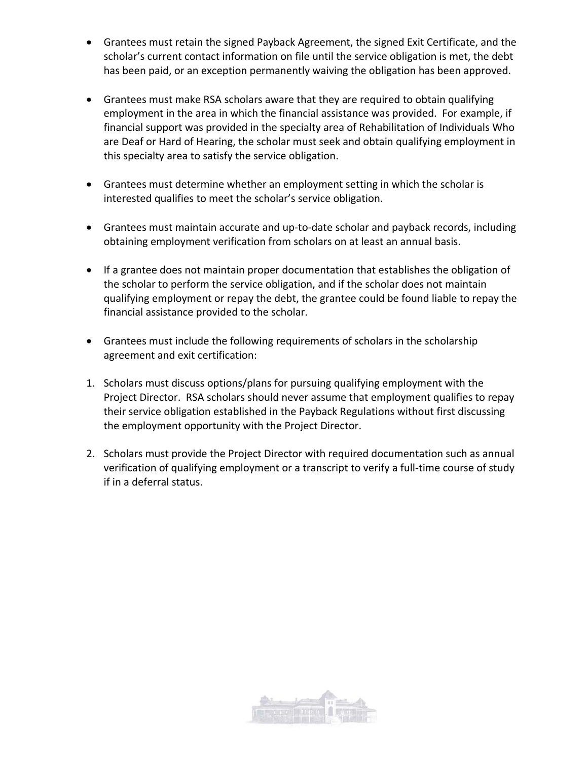- Grantees must retain the signed Payback Agreement, the signed Exit Certificate, and the scholar's current contact information on file until the service obligation is met, the debt has been paid, or an exception permanently waiving the obligation has been approved.
- Grantees must make RSA scholars aware that they are required to obtain qualifying employment in the area in which the financial assistance was provided. For example, if financial support was provided in the specialty area of Rehabilitation of Individuals Who are Deaf or Hard of Hearing, the scholar must seek and obtain qualifying employment in this specialty area to satisfy the service obligation.
- Grantees must determine whether an employment setting in which the scholar is interested qualifies to meet the scholar's service obligation.
- Grantees must maintain accurate and up-to-date scholar and payback records, including obtaining employment verification from scholars on at least an annual basis.
- If a grantee does not maintain proper documentation that establishes the obligation of the scholar to perform the service obligation, and if the scholar does not maintain qualifying employment or repay the debt, the grantee could be found liable to repay the financial assistance provided to the scholar.
- Grantees must include the following requirements of scholars in the scholarship agreement and exit certification:
- 1. Scholars must discuss options/plans for pursuing qualifying employment with the Project Director. RSA scholars should never assume that employment qualifies to repay their service obligation established in the Payback Regulations without first discussing the employment opportunity with the Project Director.
- 2. Scholars must provide the Project Director with required documentation such as annual verification of qualifying employment or a transcript to verify a full-time course of study if in a deferral status.

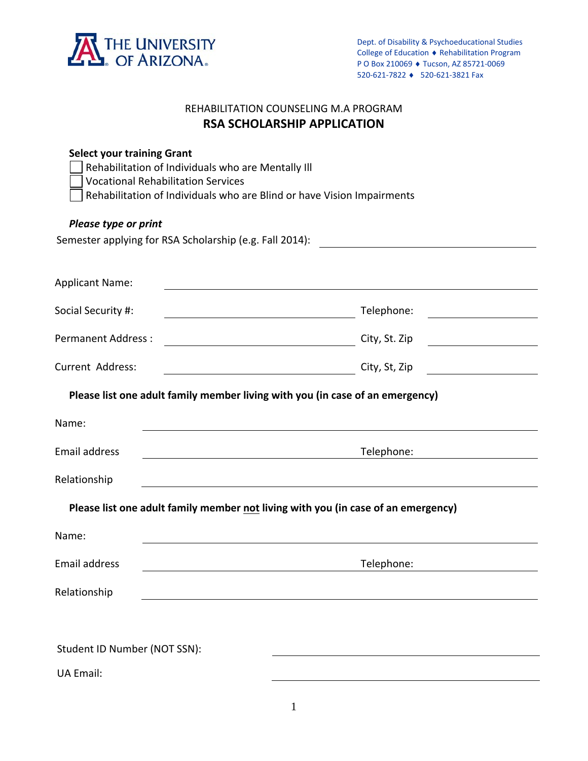

## REHABILITATION COUNSELING M.A PROGRAM **RSA SCHOLARSHIP APPLICATION**

| <b>Select your training Grant</b><br>Rehabilitation of Individuals who are Mentally III<br><b>Vocational Rehabilitation Services</b><br>Rehabilitation of Individuals who are Blind or have Vision Impairments |                                                                                                                                                                                            |  |  |
|----------------------------------------------------------------------------------------------------------------------------------------------------------------------------------------------------------------|--------------------------------------------------------------------------------------------------------------------------------------------------------------------------------------------|--|--|
| Please type or print                                                                                                                                                                                           |                                                                                                                                                                                            |  |  |
| Semester applying for RSA Scholarship (e.g. Fall 2014):                                                                                                                                                        |                                                                                                                                                                                            |  |  |
| <b>Applicant Name:</b>                                                                                                                                                                                         |                                                                                                                                                                                            |  |  |
| Social Security #:                                                                                                                                                                                             | Telephone:<br><u> 1980 - Johann Barbara, martxa amerikan personal (</u>                                                                                                                    |  |  |
| <b>Permanent Address:</b>                                                                                                                                                                                      | City, St. Zip<br><u> 1980 - Johann Barbara, martxa alemaniar a</u><br><u> 1980 - Jan Stein Stein Stein Stein Stein Stein Stein Stein Stein Stein Stein Stein Stein Stein Stein Stein S</u> |  |  |
| <b>Current Address:</b>                                                                                                                                                                                        | City, St, Zip<br><u> 1980 - Johann Barbara, martin d</u>                                                                                                                                   |  |  |
| Please list one adult family member living with you (in case of an emergency)                                                                                                                                  |                                                                                                                                                                                            |  |  |
| Name:                                                                                                                                                                                                          | the contract of the contract of the contract of the contract of the contract of the contract of the contract of                                                                            |  |  |
| <b>Email address</b>                                                                                                                                                                                           | Telephone:                                                                                                                                                                                 |  |  |
| Relationship                                                                                                                                                                                                   |                                                                                                                                                                                            |  |  |
| Please list one adult family member not living with you (in case of an emergency)                                                                                                                              |                                                                                                                                                                                            |  |  |
| Name:                                                                                                                                                                                                          |                                                                                                                                                                                            |  |  |
| Email address                                                                                                                                                                                                  | Telephone:                                                                                                                                                                                 |  |  |
| Relationship                                                                                                                                                                                                   |                                                                                                                                                                                            |  |  |
|                                                                                                                                                                                                                |                                                                                                                                                                                            |  |  |
| Student ID Number (NOT SSN):                                                                                                                                                                                   |                                                                                                                                                                                            |  |  |
| <b>UA Email:</b>                                                                                                                                                                                               |                                                                                                                                                                                            |  |  |